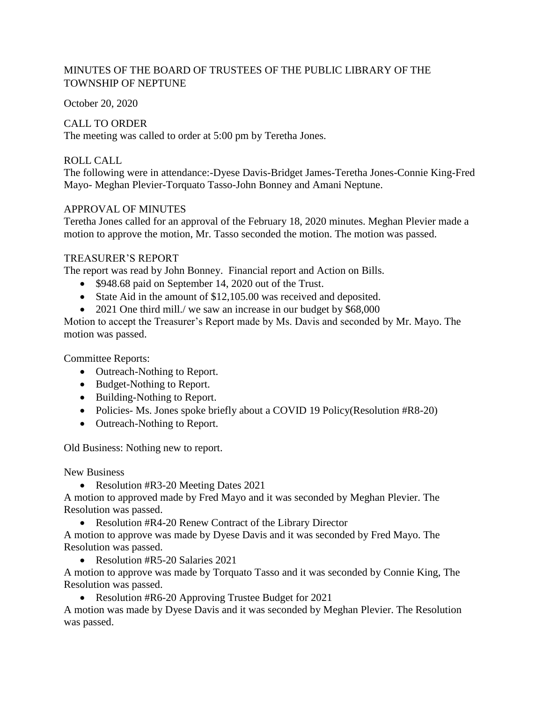# MINUTES OF THE BOARD OF TRUSTEES OF THE PUBLIC LIBRARY OF THE TOWNSHIP OF NEPTUNE

October 20, 2020

### CALL TO ORDER

The meeting was called to order at 5:00 pm by Teretha Jones.

# ROLL CALL

The following were in attendance:-Dyese Davis-Bridget James-Teretha Jones-Connie King-Fred Mayo- Meghan Plevier-Torquato Tasso-John Bonney and Amani Neptune.

# APPROVAL OF MINUTES

Teretha Jones called for an approval of the February 18, 2020 minutes. Meghan Plevier made a motion to approve the motion, Mr. Tasso seconded the motion. The motion was passed.

# TREASURER'S REPORT

The report was read by John Bonney. Financial report and Action on Bills.

- \$948.68 paid on September 14, 2020 out of the Trust.
- State Aid in the amount of \$12,105.00 was received and deposited.
- 2021 One third mill./ we saw an increase in our budget by \$68,000

Motion to accept the Treasurer's Report made by Ms. Davis and seconded by Mr. Mayo. The motion was passed.

Committee Reports:

- Outreach-Nothing to Report.
- Budget-Nothing to Report.
- Building-Nothing to Report.
- Policies- Ms. Jones spoke briefly about a COVID 19 Policy(Resolution #R8-20)
- Outreach-Nothing to Report.

Old Business: Nothing new to report.

New Business

• Resolution #R3-20 Meeting Dates 2021

A motion to approved made by Fred Mayo and it was seconded by Meghan Plevier. The Resolution was passed.

• Resolution #R4-20 Renew Contract of the Library Director

A motion to approve was made by Dyese Davis and it was seconded by Fred Mayo. The Resolution was passed.

• Resolution #R5-20 Salaries 2021

A motion to approve was made by Torquato Tasso and it was seconded by Connie King, The Resolution was passed.

• Resolution #R6-20 Approving Trustee Budget for 2021

A motion was made by Dyese Davis and it was seconded by Meghan Plevier. The Resolution was passed.